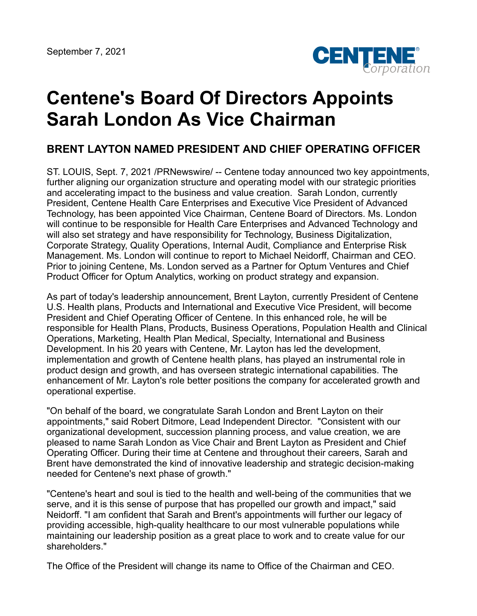

## **Centene's Board Of Directors Appoints Sarah London As Vice Chairman**

## **BRENT LAYTON NAMED PRESIDENT AND CHIEF OPERATING OFFICER**

ST. LOUIS, Sept. 7, 2021 /PRNewswire/ -- Centene today announced two key appointments, further aligning our organization structure and operating model with our strategic priorities and accelerating impact to the business and value creation. Sarah London, currently President, Centene Health Care Enterprises and Executive Vice President of Advanced Technology, has been appointed Vice Chairman, Centene Board of Directors. Ms. London will continue to be responsible for Health Care Enterprises and Advanced Technology and will also set strategy and have responsibility for Technology, Business Digitalization, Corporate Strategy, Quality Operations, Internal Audit, Compliance and Enterprise Risk Management. Ms. London will continue to report to Michael Neidorff, Chairman and CEO. Prior to joining Centene, Ms. London served as a Partner for Optum Ventures and Chief Product Officer for Optum Analytics, working on product strategy and expansion.

As part of today's leadership announcement, Brent Layton, currently President of Centene U.S. Health plans, Products and International and Executive Vice President, will become President and Chief Operating Officer of Centene. In this enhanced role, he will be responsible for Health Plans, Products, Business Operations, Population Health and Clinical Operations, Marketing, Health Plan Medical, Specialty, International and Business Development. In his 20 years with Centene, Mr. Layton has led the development, implementation and growth of Centene health plans, has played an instrumental role in product design and growth, and has overseen strategic international capabilities. The enhancement of Mr. Layton's role better positions the company for accelerated growth and operational expertise.

"On behalf of the board, we congratulate Sarah London and Brent Layton on their appointments," said Robert Ditmore, Lead Independent Director. "Consistent with our organizational development, succession planning process, and value creation, we are pleased to name Sarah London as Vice Chair and Brent Layton as President and Chief Operating Officer. During their time at Centene and throughout their careers, Sarah and Brent have demonstrated the kind of innovative leadership and strategic decision-making needed for Centene's next phase of growth."

"Centene's heart and soul is tied to the health and well-being of the communities that we serve, and it is this sense of purpose that has propelled our growth and impact," said Neidorff. "I am confident that Sarah and Brent's appointments will further our legacy of providing accessible, high-quality healthcare to our most vulnerable populations while maintaining our leadership position as a great place to work and to create value for our shareholders."

The Office of the President will change its name to Office of the Chairman and CEO.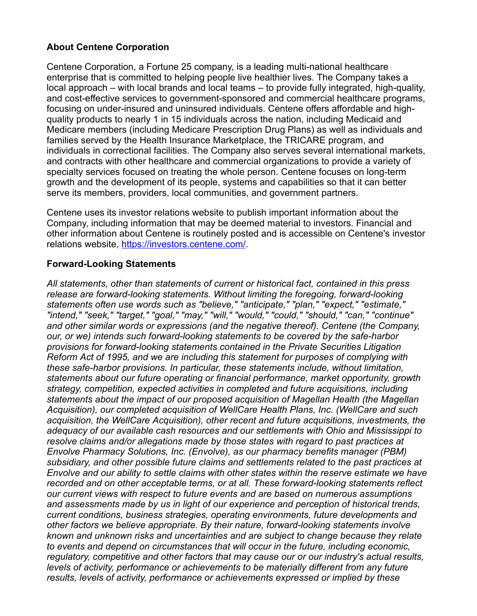## **About Centene Corporation**

Centene Corporation, a Fortune 25 company, is a leading multi-national healthcare enterprise that is committed to helping people live healthier lives. The Company takes a local approach – with local brands and local teams – to provide fully integrated, high-quality, and cost-effective services to government-sponsored and commercial healthcare programs, focusing on under-insured and uninsured individuals. Centene offers affordable and highquality products to nearly 1 in 15 individuals across the nation, including Medicaid and Medicare members (including Medicare Prescription Drug Plans) as well as individuals and families served by the Health Insurance Marketplace, the TRICARE program, and individuals in correctional facilities. The Company also serves several international markets, and contracts with other healthcare and commercial organizations to provide a variety of specialty services focused on treating the whole person. Centene focuses on long-term growth and the development of its people, systems and capabilities so that it can better serve its members, providers, local communities, and government partners.

Centene uses its investor relations website to publish important information about the Company, including information that may be deemed material to investors. Financial and other information about Centene is routinely posted and is accessible on Centene's investor relations website, [https://investors.centene.com/.](https://investors.centene.com/)

## **Forward-Looking Statements**

*All statements, other than statements of current or historical fact, contained in this press release are forward-looking statements. Without limiting the foregoing, forward-looking statements often use words such as "believe," "anticipate," "plan," "expect," "estimate," "intend," "seek," "target," "goal," "may," "will," "would," "could," "should," "can," "continue" and other similar words or expressions (and the negative thereof). Centene (the Company, our, or we) intends such forward-looking statements to be covered by the safe-harbor provisions for forward-looking statements contained in the Private Securities Litigation Reform Act of 1995, and we are including this statement for purposes of complying with these safe-harbor provisions. In particular, these statements include, without limitation, statements about our future operating or financial performance, market opportunity, growth strategy, competition, expected activities in completed and future acquisitions, including statements about the impact of our proposed acquisition of Magellan Health (the Magellan Acquisition), our completed acquisition of WellCare Health Plans, Inc. (WellCare and such acquisition, the WellCare Acquisition), other recent and future acquisitions, investments, the adequacy of our available cash resources and our settlements with Ohio and Mississippi to resolve claims and/or allegations made by those states with regard to past practices at Envolve Pharmacy Solutions, Inc. (Envolve), as our pharmacy benefits manager (PBM) subsidiary, and other possible future claims and settlements related to the past practices at Envolve and our ability to settle claims with other states within the reserve estimate we have recorded and on other acceptable terms, or at all. These forward-looking statements reflect our current views with respect to future events and are based on numerous assumptions and assessments made by us in light of our experience and perception of historical trends, current conditions, business strategies, operating environments, future developments and other factors we believe appropriate. By their nature, forward-looking statements involve known and unknown risks and uncertainties and are subject to change because they relate to events and depend on circumstances that will occur in the future, including economic, regulatory, competitive and other factors that may cause our or our industry's actual results, levels of activity, performance or achievements to be materially different from any future results, levels of activity, performance or achievements expressed or implied by these*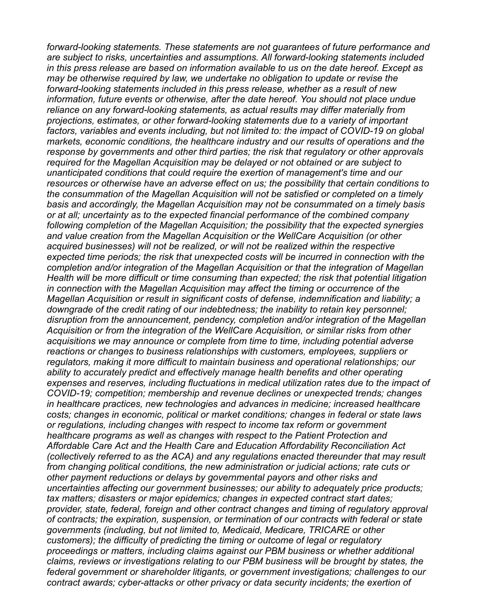*forward-looking statements. These statements are not guarantees of future performance and are subject to risks, uncertainties and assumptions. All forward-looking statements included in this press release are based on information available to us on the date hereof. Except as may be otherwise required by law, we undertake no obligation to update or revise the forward-looking statements included in this press release, whether as a result of new information, future events or otherwise, after the date hereof. You should not place undue reliance on any forward-looking statements, as actual results may differ materially from projections, estimates, or other forward-looking statements due to a variety of important factors, variables and events including, but not limited to: the impact of COVID-19 on global markets, economic conditions, the healthcare industry and our results of operations and the response by governments and other third parties; the risk that regulatory or other approvals required for the Magellan Acquisition may be delayed or not obtained or are subject to unanticipated conditions that could require the exertion of management's time and our resources or otherwise have an adverse effect on us; the possibility that certain conditions to the consummation of the Magellan Acquisition will not be satisfied or completed on a timely basis and accordingly, the Magellan Acquisition may not be consummated on a timely basis or at all; uncertainty as to the expected financial performance of the combined company following completion of the Magellan Acquisition; the possibility that the expected synergies and value creation from the Magellan Acquisition or the WellCare Acquisition (or other acquired businesses) will not be realized, or will not be realized within the respective expected time periods; the risk that unexpected costs will be incurred in connection with the completion and/or integration of the Magellan Acquisition or that the integration of Magellan Health will be more difficult or time consuming than expected; the risk that potential litigation in connection with the Magellan Acquisition may affect the timing or occurrence of the Magellan Acquisition or result in significant costs of defense, indemnification and liability; a downgrade of the credit rating of our indebtedness; the inability to retain key personnel; disruption from the announcement, pendency, completion and/or integration of the Magellan Acquisition or from the integration of the WellCare Acquisition, or similar risks from other acquisitions we may announce or complete from time to time, including potential adverse reactions or changes to business relationships with customers, employees, suppliers or regulators, making it more difficult to maintain business and operational relationships; our ability to accurately predict and effectively manage health benefits and other operating expenses and reserves, including fluctuations in medical utilization rates due to the impact of COVID-19; competition; membership and revenue declines or unexpected trends; changes in healthcare practices, new technologies and advances in medicine; increased healthcare costs; changes in economic, political or market conditions; changes in federal or state laws or regulations, including changes with respect to income tax reform or government healthcare programs as well as changes with respect to the Patient Protection and Affordable Care Act and the Health Care and Education Affordability Reconciliation Act (collectively referred to as the ACA) and any regulations enacted thereunder that may result from changing political conditions, the new administration or judicial actions; rate cuts or other payment reductions or delays by governmental payors and other risks and uncertainties affecting our government businesses; our ability to adequately price products; tax matters; disasters or major epidemics; changes in expected contract start dates; provider, state, federal, foreign and other contract changes and timing of regulatory approval of contracts; the expiration, suspension, or termination of our contracts with federal or state governments (including, but not limited to, Medicaid, Medicare, TRICARE or other customers); the difficulty of predicting the timing or outcome of legal or regulatory proceedings or matters, including claims against our PBM business or whether additional claims, reviews or investigations relating to our PBM business will be brought by states, the federal government or shareholder litigants, or government investigations; challenges to our contract awards; cyber-attacks or other privacy or data security incidents; the exertion of*